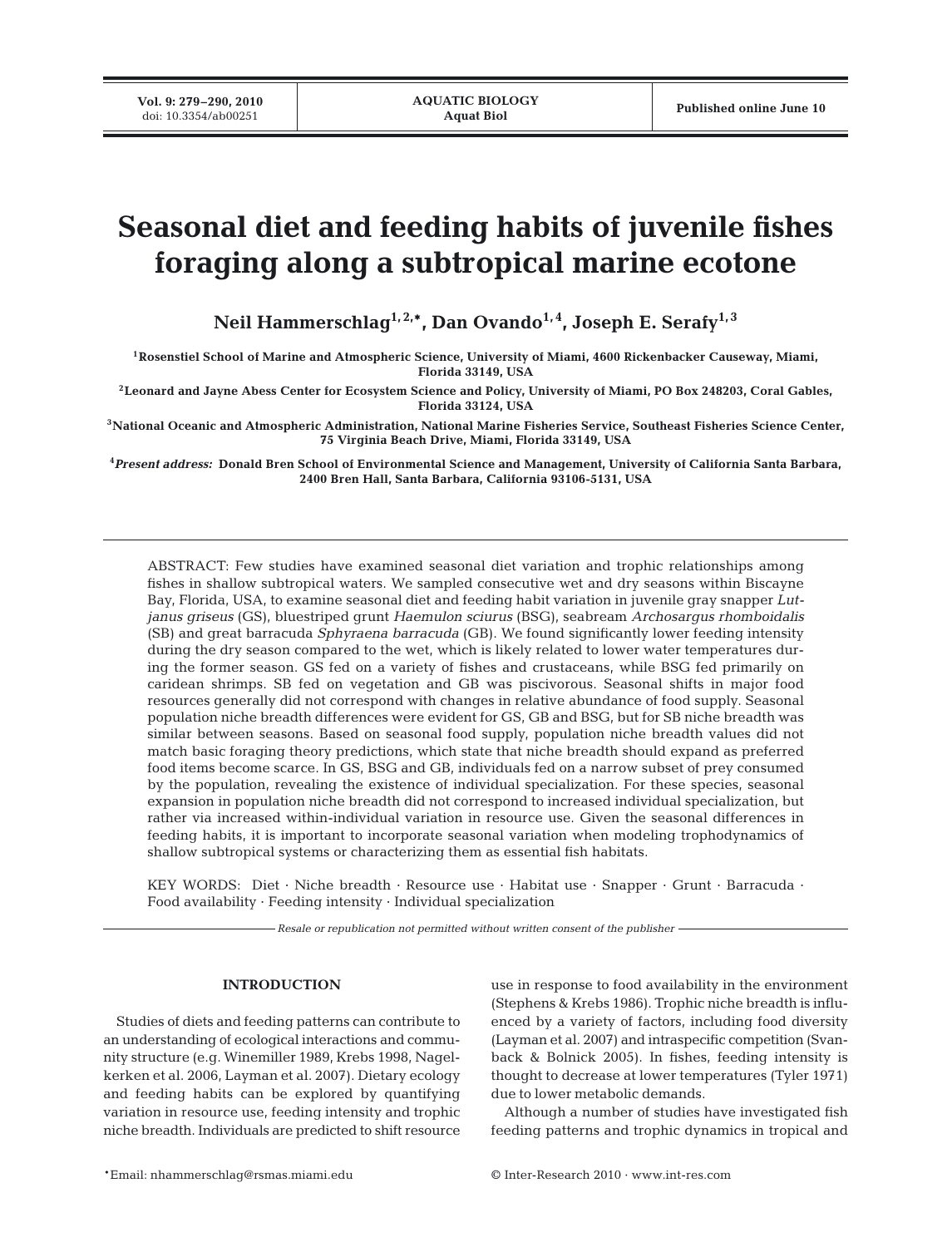# **Seasonal diet and feeding habits of juvenile fishes foraging along a subtropical marine ecotone**

Neil Hammerschlag<sup>1, 2,\*</sup>, Dan Ovando<sup>1,4</sup>, Joseph E. Serafy<sup>1,3</sup>

**1Rosenstiel School of Marine and Atmospheric Science, University of Miami, 4600 Rickenbacker Causeway, Miami, Florida 33149, USA**

**2Leonard and Jayne Abess Center for Ecosystem Science and Policy, University of Miami, PO Box 248203, Coral Gables, Florida 33124, USA**

**3National Oceanic and Atmospheric Administration, National Marine Fisheries Service, Southeast Fisheries Science Center, 75 Virginia Beach Drive, Miami, Florida 33149, USA**

**4** *Present address:* **Donald Bren School of Environmental Science and Management, University of California Santa Barbara, 2400 Bren Hall, Santa Barbara, California 93106-5131, USA**

ABSTRACT: Few studies have examined seasonal diet variation and trophic relationships among fishes in shallow subtropical waters. We sampled consecutive wet and dry seasons within Biscayne Bay, Florida, USA, to examine seasonal diet and feeding habit variation in juvenile gray snapper *Lutjanus griseus* (GS), bluestriped grunt *Haemulon sciurus* (BSG), seabream *Archosargus rhomboidalis* (SB) and great barracuda *Sphyraena barracuda* (GB). We found significantly lower feeding intensity during the dry season compared to the wet, which is likely related to lower water temperatures during the former season. GS fed on a variety of fishes and crustaceans, while BSG fed primarily on caridean shrimps. SB fed on vegetation and GB was piscivorous. Seasonal shifts in major food resources generally did not correspond with changes in relative abundance of food supply. Seasonal population niche breadth differences were evident for GS, GB and BSG, but for SB niche breadth was similar between seasons. Based on seasonal food supply, population niche breadth values did not match basic foraging theory predictions, which state that niche breadth should expand as preferred food items become scarce. In GS, BSG and GB, individuals fed on a narrow subset of prey consumed by the population, revealing the existence of individual specialization. For these species, seasonal expansion in population niche breadth did not correspond to increased individual specialization, but rather via increased within-individual variation in resource use. Given the seasonal differences in feeding habits, it is important to incorporate seasonal variation when modeling trophodynamics of shallow subtropical systems or characterizing them as essential fish habitats.

KEY WORDS: Diet · Niche breadth · Resource use · Habitat use · Snapper · Grunt · Barracuda · Food availability  $\cdot$  Feeding intensity  $\cdot$  Individual specialization

*Resale or republication not permitted without written consent of the publisher*

## **INTRODUCTION**

Studies of diets and feeding patterns can contribute to an understanding of ecological interactions and community structure (e.g. Winemiller 1989, Krebs 1998, Nagelkerken et al. 2006, Layman et al. 2007). Dietary ecology and feeding habits can be explored by quantifying variation in resource use, feeding intensity and trophic niche breadth. Individuals are predicted to shift resource use in response to food availability in the environment (Stephens & Krebs 1986). Trophic niche breadth is influenced by a variety of factors, including food diversity (Layman et al. 2007) and intraspecific competition (Svanback & Bolnick 2005). In fishes, feeding intensity is thought to decrease at lower temperatures (Tyler 1971) due to lower metabolic demands.

Although a number of studies have investigated fish feeding patterns and trophic dynamics in tropical and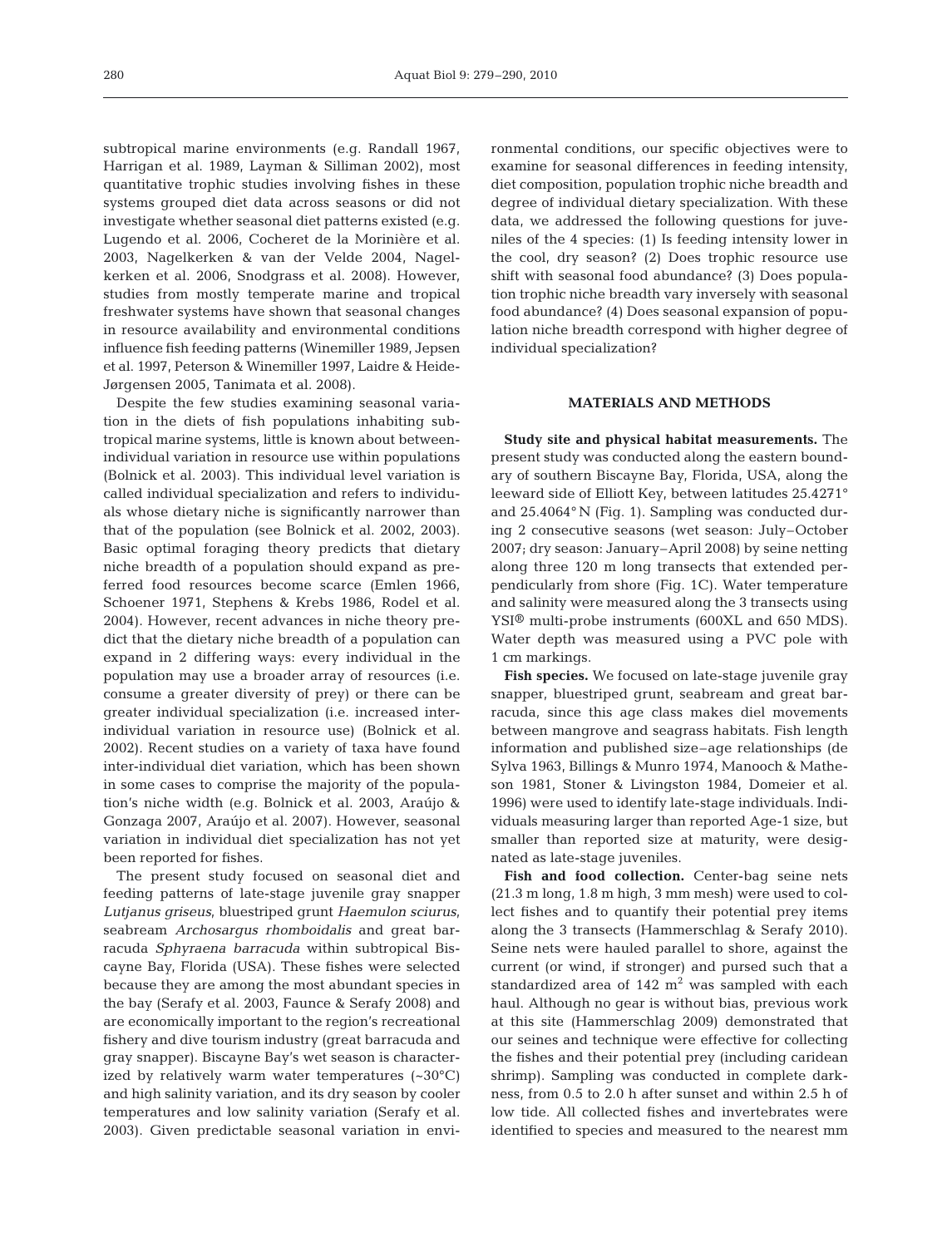subtropical marine environments (e.g. Randall 1967, Harrigan et al. 1989, Layman & Silliman 2002), most quantitative trophic studies involving fishes in these systems grouped diet data across seasons or did not investigate whether seasonal diet patterns existed (e.g. Lugendo et al. 2006, Cocheret de la Morinière et al. 2003, Nagelkerken & van der Velde 2004, Nagelkerken et al. 2006, Snodgrass et al. 2008). However, studies from mostly temperate marine and tropical freshwater systems have shown that seasonal changes in resource availability and environmental conditions influence fish feeding patterns (Winemiller 1989, Jepsen et al. 1997, Peterson & Winemiller 1997, Laidre & Heide-Jørgensen 2005, Tanimata et al. 2008).

Despite the few studies examining seasonal variation in the diets of fish populations inhabiting subtropical marine systems, little is known about betweenindividual variation in resource use within populations (Bolnick et al. 2003). This individual level variation is called individual specialization and refers to individuals whose dietary niche is significantly narrower than that of the population (see Bolnick et al. 2002, 2003). Basic optimal foraging theory predicts that dietary niche breadth of a population should expand as preferred food resources become scarce (Emlen 1966, Schoener 1971, Stephens & Krebs 1986, Rodel et al. 2004). However, recent advances in niche theory predict that the dietary niche breadth of a population can expand in 2 differing ways: every individual in the population may use a broader array of resources (i.e. consume a greater diversity of prey) or there can be greater individual specialization (i.e. increased interindividual variation in resource use) (Bolnick et al. 2002). Recent studies on a variety of taxa have found inter-individual diet variation, which has been shown in some cases to comprise the majority of the population's niche width (e.g. Bolnick et al. 2003, Araújo & Gonzaga 2007, Araújo et al. 2007). However, seasonal variation in individual diet specialization has not yet been reported for fishes.

The present study focused on seasonal diet and feeding patterns of late-stage juvenile gray snapper *Lutjanus griseus*, bluestriped grunt *Haemulon sciurus*, seabream *Archosargus rhomboidalis* and great barracuda *Sphyraena barracuda* within subtropical Biscayne Bay, Florida (USA). These fishes were selected because they are among the most abundant species in the bay (Serafy et al. 2003, Faunce & Serafy 2008) and are economically important to the region's recreational fishery and dive tourism industry (great barracuda and gray snapper). Biscayne Bay's wet season is characterized by relatively warm water temperatures (~30°C) and high salinity variation, and its dry season by cooler temperatures and low salinity variation (Serafy et al. 2003). Given predictable seasonal variation in environmental conditions, our specific objectives were to examine for seasonal differences in feeding intensity, diet composition, population trophic niche breadth and degree of individual dietary specialization. With these data, we addressed the following questions for juveniles of the 4 species: (1) Is feeding intensity lower in the cool, dry season? (2) Does trophic resource use shift with seasonal food abundance? (3) Does population trophic niche breadth vary inversely with seasonal food abundance? (4) Does seasonal expansion of population niche breadth correspond with higher degree of individual specialization?

## **MATERIALS AND METHODS**

**Study site and physical habitat measurements.** The present study was conducted along the eastern boundary of southern Biscayne Bay, Florida, USA, along the leeward side of Elliott Key, between latitudes 25.4271° and 25.4064° N (Fig. 1). Sampling was conducted during 2 consecutive seasons (wet season: July–October 2007; dry season: January–April 2008) by seine netting along three 120 m long transects that extended perpendicularly from shore (Fig. 1C). Water temperature and salinity were measured along the 3 transects using YSI® multi-probe instruments (600XL and 650 MDS). Water depth was measured using a PVC pole with 1 cm markings.

**Fish species.** We focused on late-stage juvenile gray snapper, bluestriped grunt, seabream and great barracuda, since this age class makes diel movements between mangrove and seagrass habitats. Fish length information and published size–age relationships (de Sylva 1963, Billings & Munro 1974, Manooch & Matheson 1981, Stoner & Livingston 1984, Domeier et al. 1996) were used to identify late-stage individuals. Individuals measuring larger than reported Age-1 size, but smaller than reported size at maturity, were designated as late-stage juveniles.

**Fish and food collection.** Center-bag seine nets (21.3 m long, 1.8 m high, 3 mm mesh) were used to collect fishes and to quantify their potential prey items along the 3 transects (Hammerschlag & Serafy 2010). Seine nets were hauled parallel to shore, against the current (or wind, if stronger) and pursed such that a standardized area of  $142 \text{ m}^2$  was sampled with each haul. Although no gear is without bias, previous work at this site (Hammerschlag 2009) demonstrated that our seines and technique were effective for collecting the fishes and their potential prey (including caridean shrimp). Sampling was conducted in complete darkness, from 0.5 to 2.0 h after sunset and within 2.5 h of low tide. All collected fishes and invertebrates were identified to species and measured to the nearest mm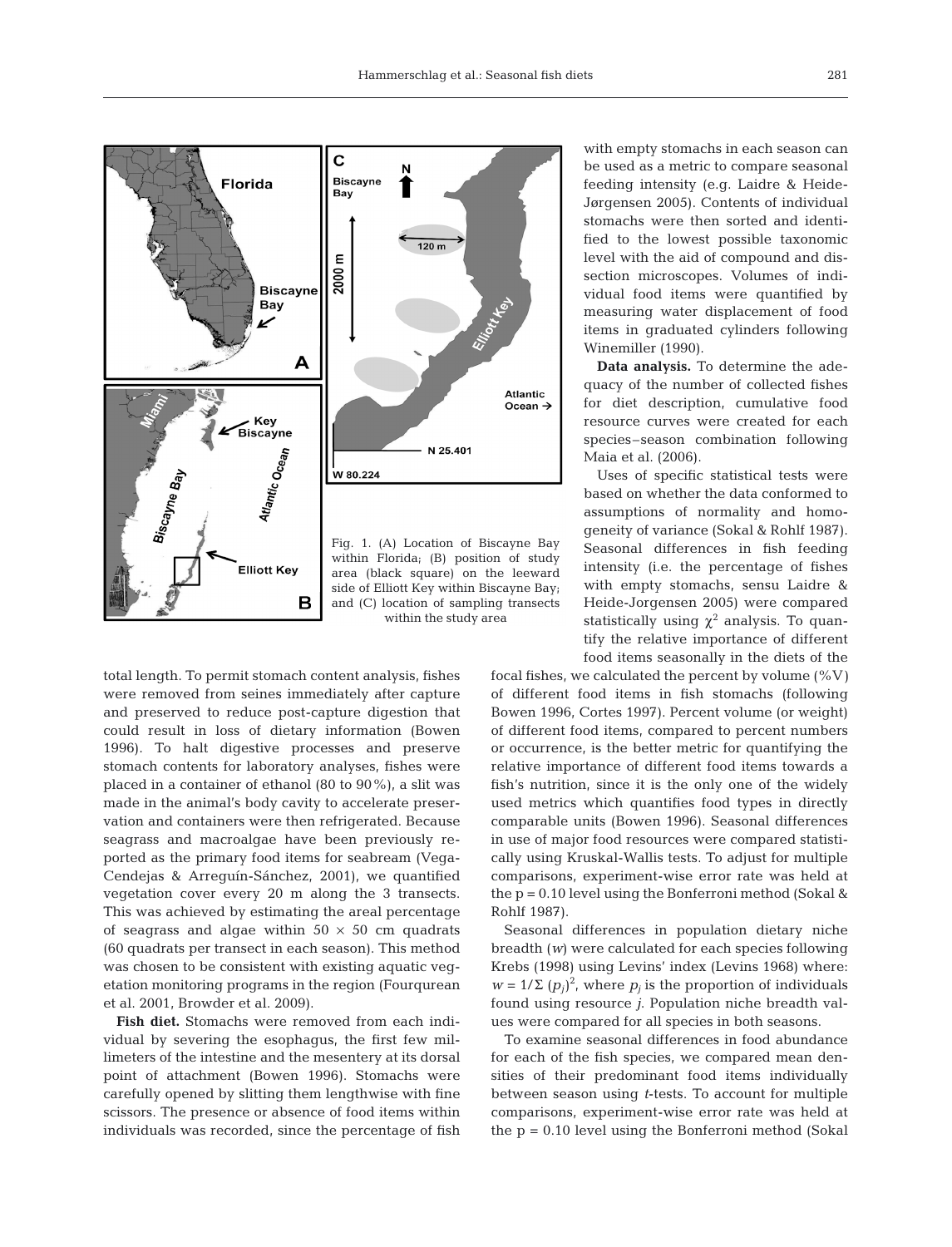**Atlantic** Ocean  $\rightarrow$ 



total length. To permit stomach content analysis, fishes were removed from seines immediately after capture and preserved to reduce post-capture digestion that could result in loss of dietary information (Bowen 1996). To halt digestive processes and preserve stomach contents for laboratory analyses, fishes were placed in a container of ethanol (80 to 90%), a slit was made in the animal's body cavity to accelerate preservation and containers were then refrigerated. Because seagrass and macroalgae have been previously reported as the primary food items for seabream (Vega-Cendejas & Arreguín-Sánchez, 2001), we quantified vegetation cover every 20 m along the 3 transects. This was achieved by estimating the areal percentage of seagrass and algae within  $50 \times 50$  cm quadrats (60 quadrats per transect in each season). This method was chosen to be consistent with existing aquatic vegetation monitoring programs in the region (Fourqurean et al. 2001, Browder et al. 2009).

**Fish diet.** Stomachs were removed from each individual by severing the esophagus, the first few millimeters of the intestine and the mesentery at its dorsal point of attachment (Bowen 1996). Stomachs were carefully opened by slitting them lengthwise with fine scissors. The presence or absence of food items within individuals was recorded, since the percentage of fish with empty stomachs in each season can be used as a metric to compare seasonal feeding intensity (e.g. Laidre & Heide-Jørgensen 2005). Contents of individual stomachs were then sorted and identified to the lowest possible taxonomic level with the aid of compound and dissection microscopes. Volumes of individual food items were quantified by measuring water displacement of food items in graduated cylinders following Winemiller (1990).

**Data analysis.** To determine the adequacy of the number of collected fishes for diet description, cumulative food resource curves were created for each species–season combination following Maia et al. (2006).

Uses of specific statistical tests were based on whether the data conformed to assumptions of normality and homogeneity of variance (Sokal & Rohlf 1987). Seasonal differences in fish feeding intensity (i.e. the percentage of fishes with empty stomachs, sensu Laidre & Heide-Jorgensen 2005) were compared statistically using  $\chi^2$  analysis. To quantify the relative importance of different food items seasonally in the diets of the

focal fishes, we calculated the percent by volume (%V*)* of different food items in fish stomachs (following Bowen 1996, Cortes 1997). Percent volume (or weight) of different food items, compared to percent numbers or occurrence, is the better metric for quantifying the relative importance of different food items towards a fish's nutrition, since it is the only one of the widely used metrics which quantifies food types in directly comparable units (Bowen 1996). Seasonal differences in use of major food resources were compared statistically using Kruskal-Wallis tests. To adjust for multiple comparisons, experiment-wise error rate was held at the  $p = 0.10$  level using the Bonferroni method (Sokal & Rohlf 1987).

Seasonal differences in population dietary niche breadth (*w*) were calculated for each species following Krebs (1998) using Levins' index (Levins 1968) where:  $w = 1/\sum (p_j)^2$ , where  $p_j$  is the proportion of individuals found using resource *j*. Population niche breadth values were compared for all species in both seasons.

To examine seasonal differences in food abundance for each of the fish species, we compared mean densities of their predominant food items individually between season using *t*-tests. To account for multiple comparisons, experiment-wise error rate was held at the  $p = 0.10$  level using the Bonferroni method (Sokal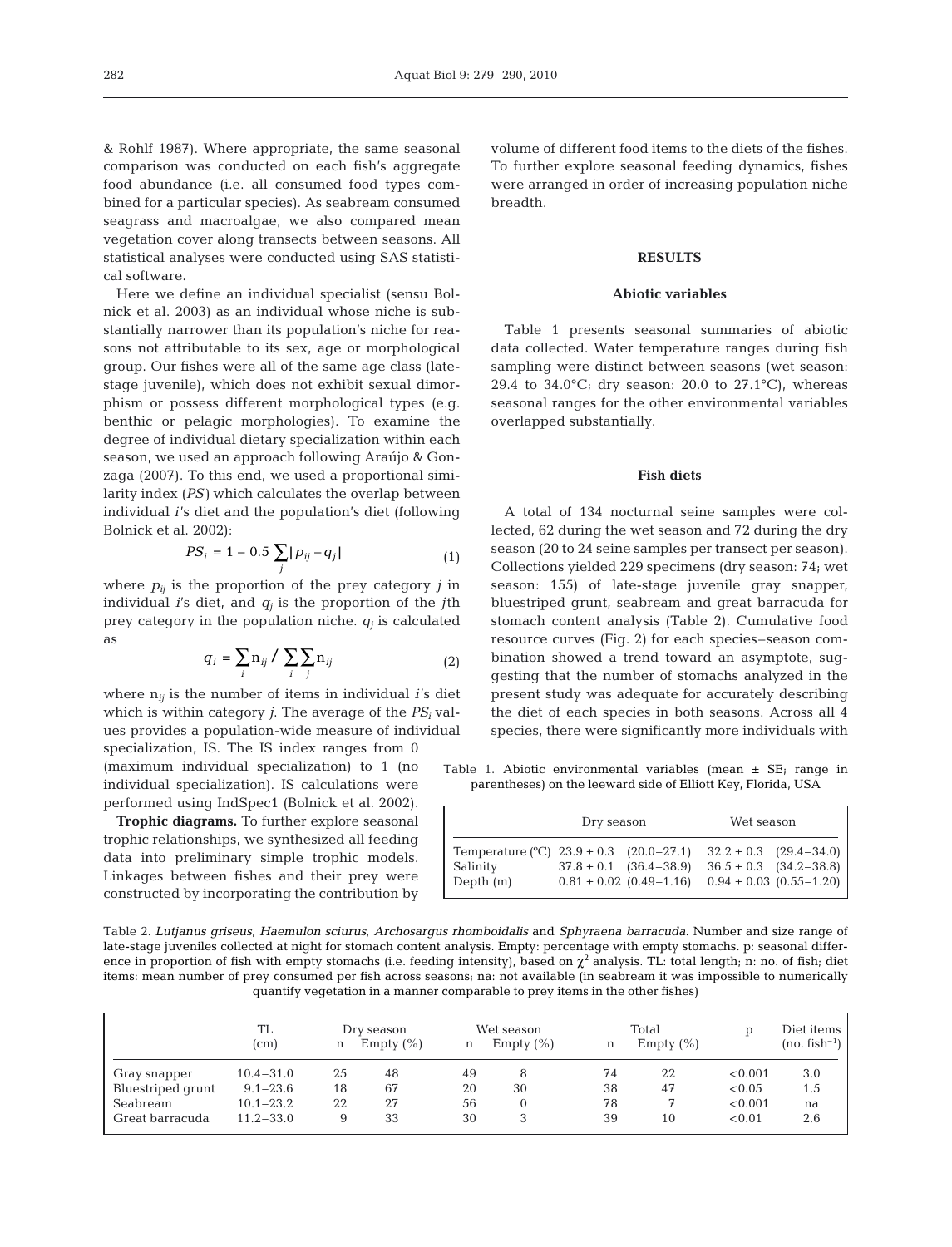& Rohlf 1987). Where appropriate, the same seasonal comparison was conducted on each fish's aggregate food abundance (i.e. all consumed food types combined for a particular species). As seabream consumed seagrass and macroalgae, we also compared mean vegetation cover along transects between seasons. All statistical analyses were conducted using SAS statistical software.

Here we define an individual specialist (sensu Bolnick et al. 2003) as an individual whose niche is substantially narrower than its population's niche for reasons not attributable to its sex, age or morphological group. Our fishes were all of the same age class (latestage juvenile), which does not exhibit sexual dimorphism or possess different morphological types (e.g. benthic or pelagic morphologies). To examine the degree of individual dietary specialization within each season, we used an approach following Araújo & Gonzaga (2007). To this end, we used a proportional similarity index (*PS)* which calculates the overlap between individual *i*'s diet and the population's diet (following Bolnick et al. 2002):

$$
PS_i = 1 - 0.5 \sum_j |p_{ij} - q_j| \tag{1}
$$

where  $p_{ij}$  is the proportion of the prey category *j* in individual *i*'s diet, and  $q_i$  is the proportion of the *j*th prey category in the population niche.  $q_i$  is calculated as

$$
q_i = \sum_i n_{ij} / \sum_i \sum_j n_{ij}
$$
 (2)

where n*ij* is the number of items in individual *i*'s diet which is within category *j*. The average of the *PSi* values provides a population-wide measure of individual specialization, IS. The IS index ranges from 0

(maximum individual specialization) to 1 (no individual specialization). IS calculations were performed using IndSpec1 (Bolnick et al. 2002).

**Trophic diagrams.** To further explore seasonal trophic relationships, we synthesized all feeding data into preliminary simple trophic models. Linkages between fishes and their prey were constructed by incorporating the contribution by

volume of different food items to the diets of the fishes. To further explore seasonal feeding dynamics, fishes were arranged in order of increasing population niche breadth.

#### **RESULTS**

## **Abiotic variables**

Table 1 presents seasonal summaries of abiotic data collected. Water temperature ranges during fish sampling were distinct between seasons (wet season: 29.4 to 34.0 $^{\circ}$ C; dry season: 20.0 to 27.1 $^{\circ}$ C), whereas seasonal ranges for the other environmental variables overlapped substantially.

#### **Fish diets**

A total of 134 nocturnal seine samples were collected, 62 during the wet season and 72 during the dry season (20 to 24 seine samples per transect per season). Collections yielded 229 specimens (dry season: 74; wet season: 155) of late-stage juvenile gray snapper, bluestriped grunt, seabream and great barracuda for stomach content analysis (Table 2). Cumulative food resource curves (Fig. 2) for each species–season combination showed a trend toward an asymptote, suggesting that the number of stomachs analyzed in the present study was adequate for accurately describing the diet of each species in both seasons. Across all 4 species, there were significantly more individuals with

Table 1. Abiotic environmental variables (mean ± SE; range in parentheses) on the leeward side of Elliott Key, Florida, USA

|                                                                      | Dry season |                                                               | Wet season |                                                                                                 |  |
|----------------------------------------------------------------------|------------|---------------------------------------------------------------|------------|-------------------------------------------------------------------------------------------------|--|
| Temperature $(°C)$ 23.9 ± 0.3 (20.0–27.1)<br>Salinity<br>Depth $(m)$ |            | $37.8 \pm 0.1$ $(36.4 - 38.9)$<br>$0.81 \pm 0.02$ (0.49-1.16) |            | $32.2 \pm 0.3$ $(29.4 - 34.0)$<br>$36.5 \pm 0.3$ $(34.2 - 38.8)$<br>$0.94 \pm 0.03$ (0.55-1.20) |  |

Table 2. *Lutjanus griseus*, *Haemulon sciurus*, *Archosargus rhomboidalis* and *Sphyraena barracuda*. Number and size range of late-stage juveniles collected at night for stomach content analysis. Empty: percentage with empty stomachs. p: seasonal difference in proportion of fish with empty stomachs (i.e. feeding intensity), based on  $\chi^2$  analysis. TL: total length; n: no. of fish; diet items: mean number of prey consumed per fish across seasons; na: not available (in seabream it was impossible to numerically quantify vegetation in a manner comparable to prey items in the other fishes)

|                   | TL<br>(cm)    | n  | Dry season<br>Empty $(\% )$ |    | Wet season<br>Empty $(\% )$ |    | Total<br>Empty $(\% )$ |         | Diet items<br>$(no. fish^{-1})$ |
|-------------------|---------------|----|-----------------------------|----|-----------------------------|----|------------------------|---------|---------------------------------|
| Gray snapper      | $10.4 - 31.0$ | 25 | 48                          | 49 | 8                           | 74 | 22                     | < 0.001 | 3.0                             |
| Bluestriped grunt | $9.1 - 23.6$  | 18 | 67                          | 20 | 30                          | 38 | 47                     | < 0.05  | 1.5                             |
| Seabream          | $10.1 - 23.2$ | 22 | 27                          | 56 | $\mathbf{0}$                | 78 |                        | < 0.001 | na                              |
| Great barracuda   | $11.2 - 33.0$ | 9  | 33                          | 30 | 3                           | 39 | 10                     | < 0.01  | 2.6                             |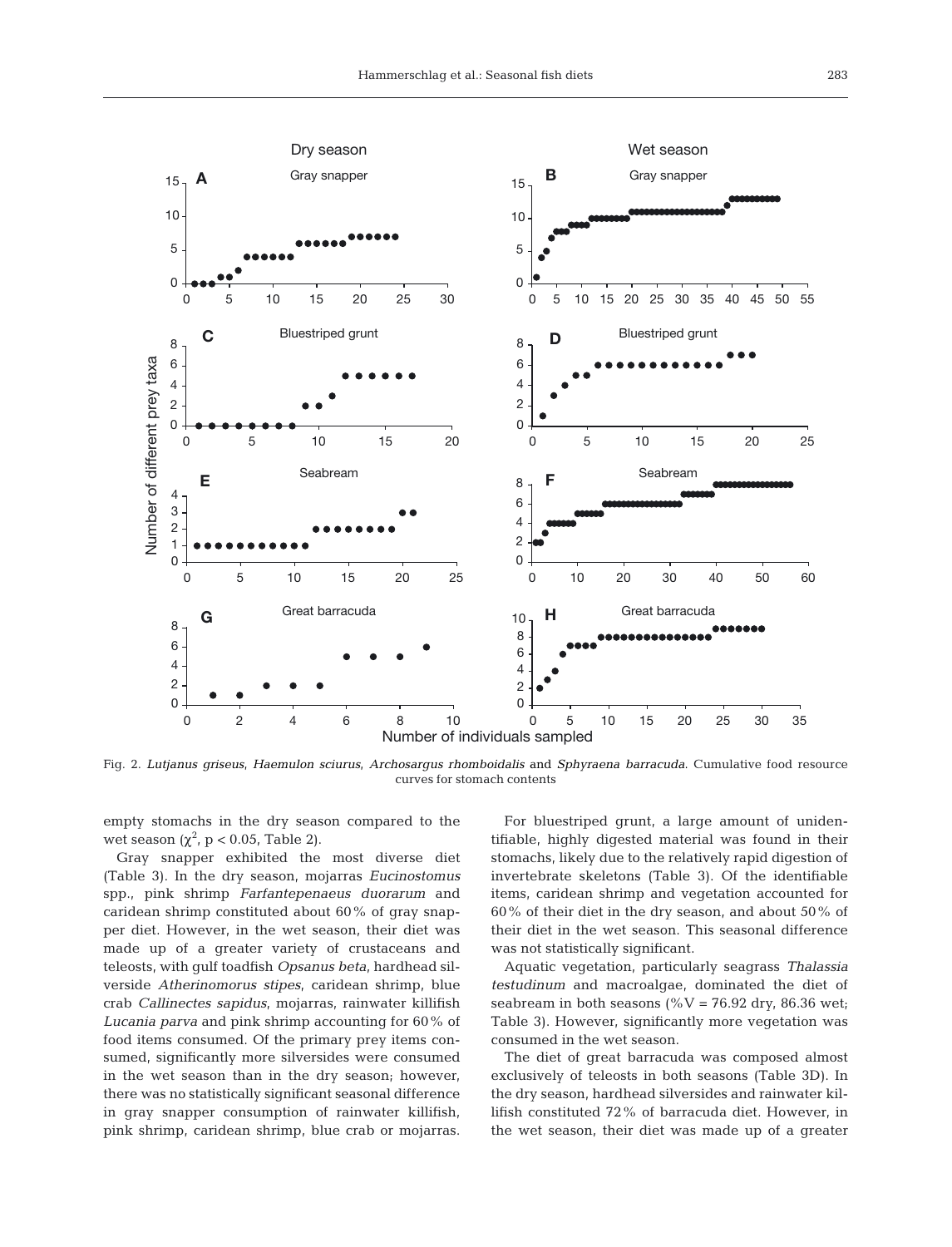

Fig. 2. *Lutjanus griseus*, *Haemulon sciurus*, *Archosargus rhomboidalis* and *Sphyraena barracuda*. Cumulative food resource curves for stomach contents

empty stomachs in the dry season compared to the wet season  $(\chi^2$ , p < 0.05, Table 2).

Gray snapper exhibited the most diverse diet (Table 3). In the dry season, mojarras *Eucinostomus* spp., pink shrimp *Farfantepenaeus duorarum* and caridean shrimp constituted about 60% of gray snapper diet. However, in the wet season, their diet was made up of a greater variety of crustaceans and teleosts, with gulf toadfish *Opsanus beta*, hardhead silverside *Atherinomorus stipes*, caridean shrimp, blue crab *Callinectes sapidus*, mojarras, rainwater killifish *Lucania parva* and pink shrimp accounting for 60% of food items consumed. Of the primary prey items consumed, significantly more silversides were consumed in the wet season than in the dry season; however, there was no statistically significant seasonal difference in gray snapper consumption of rainwater killifish, pink shrimp, caridean shrimp, blue crab or mojarras.

For bluestriped grunt, a large amount of unidentifiable, highly digested material was found in their stomachs, likely due to the relatively rapid digestion of invertebrate skeletons (Table 3). Of the identifiable items, caridean shrimp and vegetation accounted for 60% of their diet in the dry season, and about 50% of their diet in the wet season. This seasonal difference was not statistically significant.

Aquatic vegetation, particularly seagrass *Thalassia testudinum* and macroalgae, dominated the diet of seabream in both seasons (% $V = 76.92$  dry, 86.36 wet; Table 3). However, significantly more vegetation was consumed in the wet season.

The diet of great barracuda was composed almost exclusively of teleosts in both seasons (Table 3D). In the dry season, hardhead silversides and rainwater killifish constituted 72% of barracuda diet. However, in the wet season, their diet was made up of a greater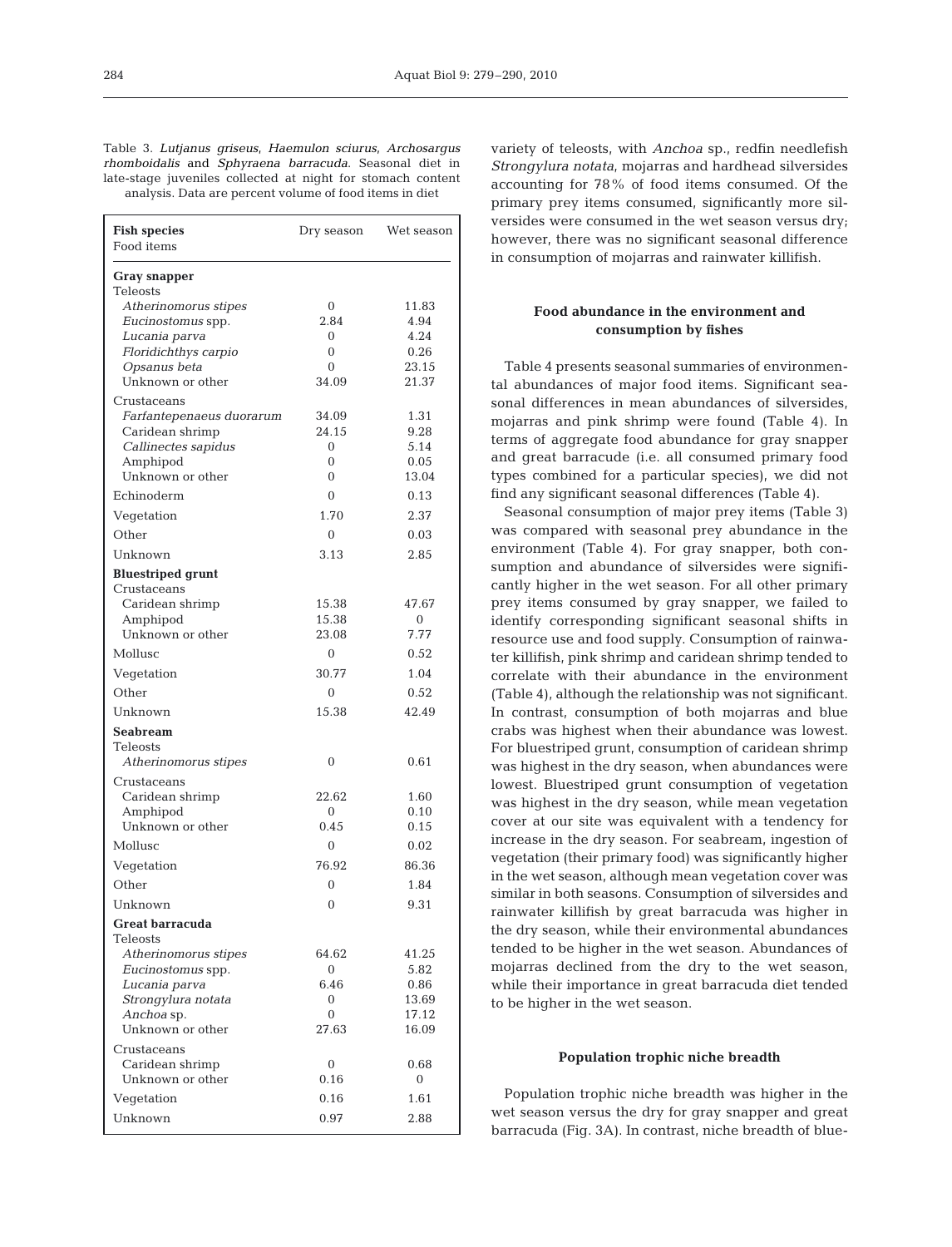284

Table 3. *Lutjanus griseus*, *Haemulon sciurus*, *Archosargus rhomboidalis* and *Sphyraena barracuda*. Seasonal diet in late-stage juveniles collected at night for stomach content analysis. Data are percent volume of food items in diet

| <b>Fish species</b><br>Food items                                                                                        | Dry season                                         | Wet season                                       |
|--------------------------------------------------------------------------------------------------------------------------|----------------------------------------------------|--------------------------------------------------|
| Gray snapper<br>Teleosts                                                                                                 |                                                    |                                                  |
| Atherinomorus stipes<br>Eucinostomus spp.<br>Lucania parva<br>Floridichthys carpio<br>Opsanus beta<br>Unknown or other   | 0<br>2.84<br>0<br>0<br>0<br>34.09                  | 11.83<br>4.94<br>4.24<br>0.26<br>23.15<br>21.37  |
| Crustaceans<br><i>Farfantepenaeus duorarum</i><br>Caridean shrimp<br>Callinectes sapidus<br>Amphipod<br>Unknown or other | 34.09<br>24.15<br>$\Omega$<br>0<br>0               | 1.31<br>9.28<br>5.14<br>0.05<br>13.04            |
| Echinoderm                                                                                                               | 0                                                  | 0.13                                             |
| Vegetation                                                                                                               | 1.70                                               | 2.37                                             |
| Other                                                                                                                    | $\theta$                                           | 0.03                                             |
| Unknown                                                                                                                  | 3.13                                               | 2.85                                             |
| <b>Bluestriped grunt</b><br>Crustaceans<br>Caridean shrimp                                                               | 15.38                                              | 47.67                                            |
| Amphipod                                                                                                                 | 15.38                                              | $\mathbf{0}$                                     |
| Unknown or other                                                                                                         | 23.08                                              | 7.77                                             |
| Mollusc                                                                                                                  | 0                                                  | 0.52                                             |
| Vegetation                                                                                                               | 30.77                                              | 1.04                                             |
| Other                                                                                                                    | $\Omega$                                           | 0.52                                             |
| Unknown                                                                                                                  | 15.38                                              | 42.49                                            |
| Seabream<br>Teleosts<br>Atherinomorus stipes                                                                             | 0                                                  | 0.61                                             |
| Crustaceans<br>Caridean shrimp<br>Amphipod<br>Unknown or other                                                           | 22.62<br>$\Omega$<br>0.45                          | 1.60<br>0.10<br>0.15                             |
| Mollusc                                                                                                                  | $\mathbf{0}$                                       | 0.02                                             |
| Vegetation                                                                                                               | 76.92                                              | 86.36                                            |
| Other                                                                                                                    | 0                                                  | 1.84                                             |
| Unknown                                                                                                                  | $\theta$                                           | 9.31                                             |
| <b>Great barracuda</b><br>Teleosts                                                                                       |                                                    |                                                  |
| Atherinomorus stipes<br>Eucinostomus spp.<br>Lucania parva<br>Strongylura notata<br>Anchoa sp.<br>Unknown or other       | 64.62<br>$\overline{0}$<br>6.46<br>0<br>0<br>27.63 | 41.25<br>5.82<br>0.86<br>13.69<br>17.12<br>16.09 |
| Crustaceans<br>Caridean shrimp<br>Unknown or other                                                                       | 0<br>0.16                                          | 0.68<br>$\overline{0}$                           |
|                                                                                                                          |                                                    |                                                  |
| Vegetation                                                                                                               | 0.16                                               | 1.61                                             |
| Unknown                                                                                                                  | 0.97                                               | 2.88                                             |

variety of teleosts, with *Anchoa* sp., redfin needlefish *Strongylura notata*, mojarras and hardhead silversides accounting for 78% of food items consumed. Of the primary prey items consumed, significantly more silversides were consumed in the wet season versus dry; however, there was no significant seasonal difference in consumption of mojarras and rainwater killifish.

# **Food abundance in the environment and consumption by fishes**

Table 4 presents seasonal summaries of environmental abundances of major food items. Significant seasonal differences in mean abundances of silversides, mojarras and pink shrimp were found (Table 4). In terms of aggregate food abundance for gray snapper and great barracude (i.e. all consumed primary food types combined for a particular species), we did not find any significant seasonal differences (Table 4).

Seasonal consumption of major prey items (Table 3) was compared with seasonal prey abundance in the environment (Table 4). For gray snapper, both consumption and abundance of silversides were significantly higher in the wet season. For all other primary prey items consumed by gray snapper, we failed to identify corresponding significant seasonal shifts in resource use and food supply. Consumption of rainwater killifish, pink shrimp and caridean shrimp tended to correlate with their abundance in the environment (Table 4), although the relationship was not significant. In contrast, consumption of both mojarras and blue crabs was highest when their abundance was lowest. For bluestriped grunt, consumption of caridean shrimp was highest in the dry season, when abundances were lowest. Bluestriped grunt consumption of vegetation was highest in the dry season, while mean vegetation cover at our site was equivalent with a tendency for increase in the dry season. For seabream, ingestion of vegetation (their primary food) was significantly higher in the wet season, although mean vegetation cover was similar in both seasons. Consumption of silversides and rainwater killifish by great barracuda was higher in the dry season, while their environmental abundances tended to be higher in the wet season. Abundances of mojarras declined from the dry to the wet season, while their importance in great barracuda diet tended to be higher in the wet season.

#### **Population trophic niche breadth**

Population trophic niche breadth was higher in the wet season versus the dry for gray snapper and great barracuda (Fig. 3A). In contrast, niche breadth of blue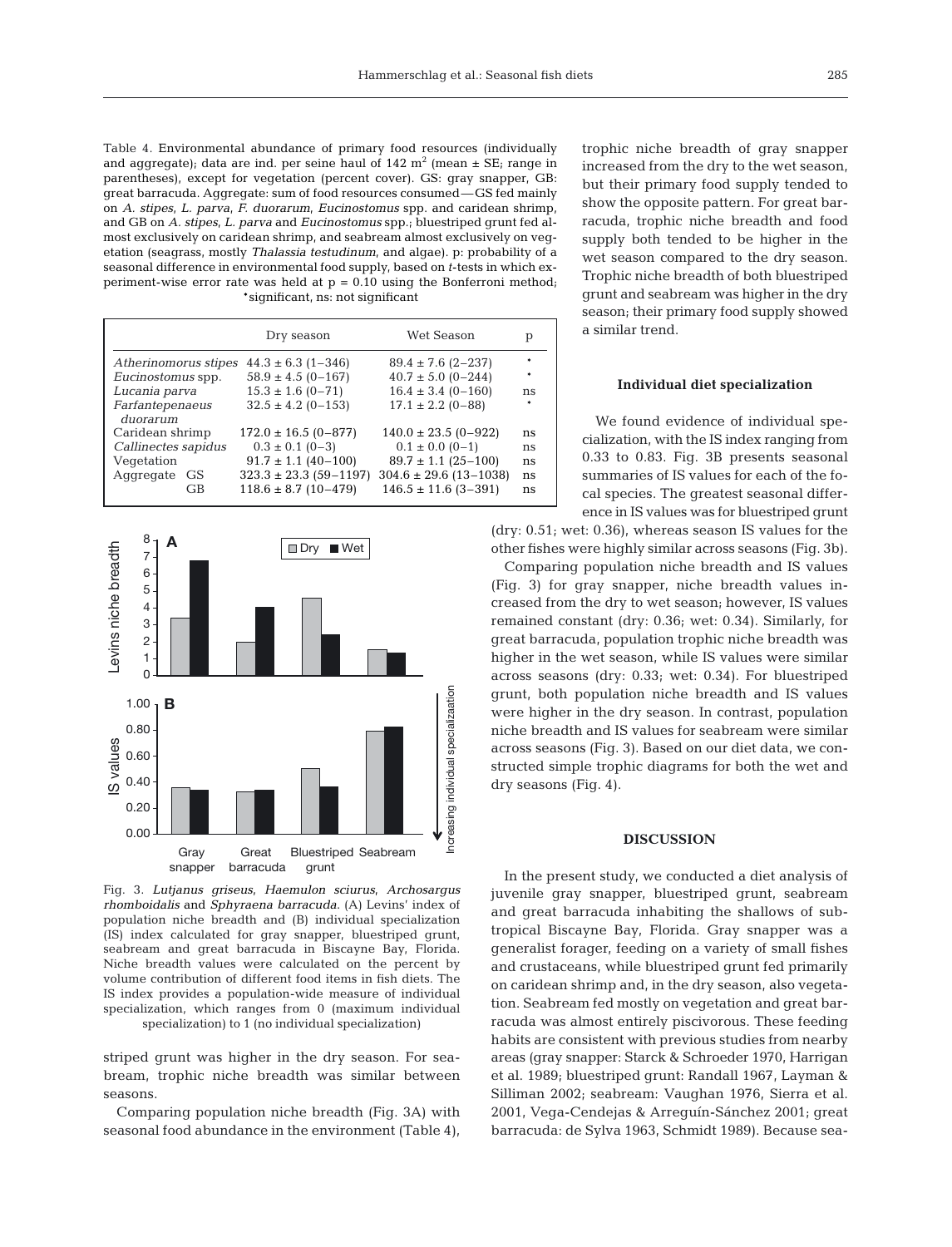Table 4. Environmental abundance of primary food resources (individually and aggregate); data are ind. per seine haul of  $142 \text{ m}^2$  (mean  $\pm$  SE; range in parentheses), except for vegetation (percent cover). GS: gray snapper, GB: great barracuda. Aggregate: sum of food resources consumed—GS fed mainly on *A. stipes*, *L. parva*, *F. duorarum*, *Eucinostomus* spp. and caridean shrimp, and GB on *A. stipes*, *L. parva* and *Eucinostomus* spp.; bluestriped grunt fed almost exclusively on caridean shrimp, and seabream almost exclusively on vegetation (seagrass, mostly *Thalassia testudinum*, and algae). p: probability of a seasonal difference in environmental food supply, based on *t*-tests in which experiment-wise error rate was held at  $p = 0.10$  using the Bonferroni method; \*significant, ns: not significant

|                      | Dry season                 | Wet Season                 | р  |
|----------------------|----------------------------|----------------------------|----|
| Atherinomorus stipes | $44.3 \pm 6.3$ (1-346)     | $89.4 \pm 7.6$ (2-237)     |    |
| Eucinostomus spp.    | $58.9 \pm 4.5 (0 - 167)$   | $40.7 \pm 5.0$ (0-244)     |    |
| Lucania parva        | $15.3 \pm 1.6 (0 - 71)$    | $16.4 \pm 3.4$ (0-160)     | ns |
| Farfantepenaeus      | $32.5 \pm 4.2$ (0-153)     | $17.1 \pm 2.2$ (0-88)      |    |
| duorarum             |                            |                            |    |
| Caridean shrimp      | $172.0 \pm 16.5 (0 - 877)$ | $140.0 \pm 23.5(0-922)$    | ns |
| Callinectes sapidus  | $0.3 \pm 0.1$ (0-3)        | $0.1 \pm 0.0$ (0-1)        | ns |
| Vegetation           | $91.7 \pm 1.1$ (40-100)    | $89.7 \pm 1.1$ (25-100)    | ns |
| Aggregate GS         | $323.3 \pm 23.3$ (59-1197) | $304.6 \pm 29.6$ (13-1038) | ns |
| GB                   | $118.6 \pm 8.7$ (10-479)   | $146.5 \pm 11.6$ (3-391)   | ns |
|                      |                            |                            |    |



Fig. 3. *Lutjanus griseus*, *Haemulon sciurus*, *Archosargus rhomboidalis* and *Sphyraena barracuda*. (A) Levins' index of population niche breadth and (B) individual specialization (IS) index calculated for gray snapper, bluestriped grunt, seabream and great barracuda in Biscayne Bay, Florida. Niche breadth values were calculated on the percent by volume contribution of different food items in fish diets. The IS index provides a population-wide measure of individual specialization, which ranges from 0 (maximum individual specialization) to 1 (no individual specialization)

striped grunt was higher in the dry season. For seabream, trophic niche breadth was similar between seasons.

Comparing population niche breadth (Fig. 3A) with seasonal food abundance in the environment (Table 4), trophic niche breadth of gray snapper increased from the dry to the wet season, but their primary food supply tended to show the opposite pattern. For great barracuda, trophic niche breadth and food supply both tended to be higher in the wet season compared to the dry season. Trophic niche breadth of both bluestriped grunt and seabream was higher in the dry season; their primary food supply showed a similar trend.

#### **Individual diet specialization**

We found evidence of individual specialization, with the IS index ranging from 0.33 to 0.83. Fig. 3B presents seasonal summaries of IS values for each of the focal species. The greatest seasonal difference in IS values was for bluestriped grunt

(dry: 0.51; wet: 0.36), whereas season IS values for the other fishes were highly similar across seasons (Fig. 3b).

Comparing population niche breadth and IS values (Fig. 3) for gray snapper, niche breadth values increased from the dry to wet season; however, IS values remained constant (dry: 0.36; wet: 0.34). Similarly, for great barracuda, population trophic niche breadth was higher in the wet season, while IS values were similar across seasons (dry: 0.33; wet: 0.34). For bluestriped grunt, both population niche breadth and IS values were higher in the dry season. In contrast, population niche breadth and IS values for seabream were similar across seasons (Fig. 3). Based on our diet data, we constructed simple trophic diagrams for both the wet and dry seasons (Fig. 4).

#### **DISCUSSION**

In the present study, we conducted a diet analysis of juvenile gray snapper, bluestriped grunt, seabream and great barracuda inhabiting the shallows of subtropical Biscayne Bay, Florida. Gray snapper was a generalist forager, feeding on a variety of small fishes and crustaceans, while bluestriped grunt fed primarily on caridean shrimp and, in the dry season, also vegetation. Seabream fed mostly on vegetation and great barracuda was almost entirely piscivorous. These feeding habits are consistent with previous studies from nearby areas (gray snapper: Starck & Schroeder 1970, Harrigan et al. 1989; bluestriped grunt: Randall 1967, Layman & Silliman 2002; seabream: Vaughan 1976, Sierra et al. 2001, Vega-Cendejas & Arreguín-Sánchez 2001; great barracuda: de Sylva 1963, Schmidt 1989). Because sea-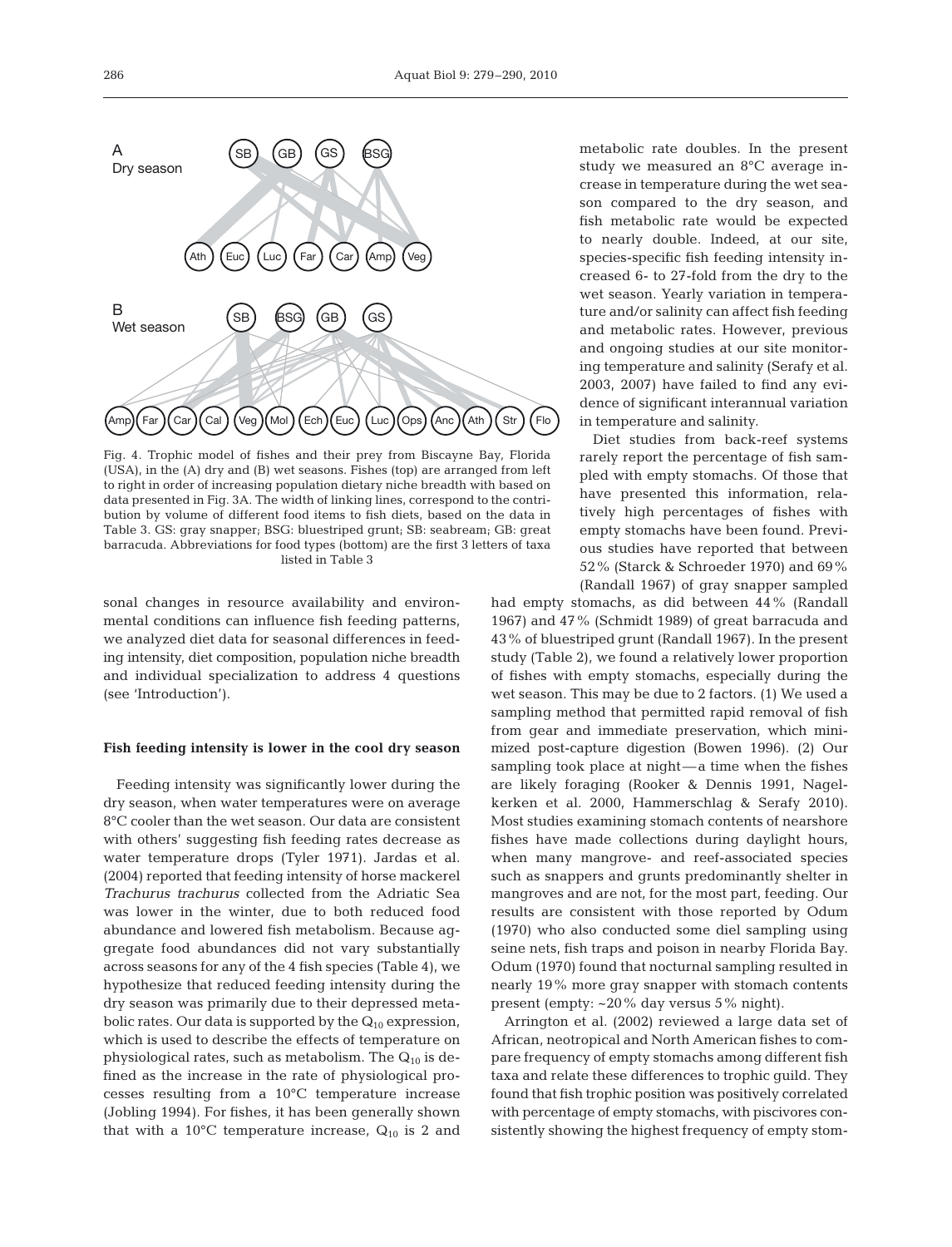

Fig. 4. Trophic model of fishes and their prey from Biscayne Bay, Florida (USA), in the (A) dry and (B) wet seasons. Fishes (top) are arranged from left to right in order of increasing population dietary niche breadth with based on data presented in Fig. 3A. The width of linking lines, correspond to the contribution by volume of different food items to fish diets, based on the data in Table 3. GS: gray snapper; BSG: bluestriped grunt; SB: seabream; GB: great barracuda. Abbreviations for food types (bottom) are the first 3 letters of taxa listed in Table 3

sonal changes in resource availability and environmental conditions can influence fish feeding patterns, we analyzed diet data for seasonal differences in feeding intensity, diet composition, population niche breadth and individual specialization to address 4 questions (see 'Introduction').

#### **Fish feeding intensity is lower in the cool dry season**

Feeding intensity was significantly lower during the dry season, when water temperatures were on average 8°C cooler than the wet season. Our data are consistent with others' suggesting fish feeding rates decrease as water temperature drops (Tyler 1971). Jardas et al. (2004) reported that feeding intensity of horse mackerel *Trachurus trachurus* collected from the Adriatic Sea was lower in the winter, due to both reduced food abundance and lowered fish metabolism. Because aggregate food abundances did not vary substantially across seasons for any of the 4 fish species (Table 4), we hypothesize that reduced feeding intensity during the dry season was primarily due to their depressed metabolic rates. Our data is supported by the  $Q_{10}$  expression, which is used to describe the effects of temperature on physiological rates, such as metabolism. The  $Q_{10}$  is defined as the increase in the rate of physiological processes resulting from a 10°C temperature increase (Jobling 1994). For fishes, it has been generally shown that with a 10°C temperature increase,  $Q_{10}$  is 2 and

metabolic rate doubles. In the present study we measured an 8°C average increase in temperature during the wet season compared to the dry season, and fish metabolic rate would be expected to nearly double. Indeed, at our site, species-specific fish feeding intensity increased 6- to 27-fold from the dry to the wet season. Yearly variation in temperature and/or salinity can affect fish feeding and metabolic rates. However, previous and ongoing studies at our site monitoring temperature and salinity (Serafy et al. 2003, 2007) have failed to find any evidence of significant interannual variation in temperature and salinity.

Diet studies from back-reef systems rarely report the percentage of fish sampled with empty stomachs. Of those that have presented this information, relatively high percentages of fishes with empty stomachs have been found. Previous studies have reported that between 52% (Starck & Schroeder 1970) and 69% (Randall 1967) of gray snapper sampled

had empty stomachs, as did between 44% (Randall 1967) and 47% (Schmidt 1989) of great barracuda and 43% of bluestriped grunt (Randall 1967). In the present study (Table 2), we found a relatively lower proportion of fishes with empty stomachs, especially during the wet season. This may be due to 2 factors. (1) We used a sampling method that permitted rapid removal of fish from gear and immediate preservation, which minimized post-capture digestion (Bowen 1996). (2) Our sampling took place at night—a time when the fishes are likely foraging (Rooker & Dennis 1991, Nagelkerken et al. 2000, Hammerschlag & Serafy 2010). Most studies examining stomach contents of nearshore fishes have made collections during daylight hours, when many mangrove- and reef-associated species such as snappers and grunts predominantly shelter in mangroves and are not, for the most part, feeding. Our results are consistent with those reported by Odum (1970) who also conducted some diel sampling using seine nets, fish traps and poison in nearby Florida Bay. Odum (1970) found that nocturnal sampling resulted in nearly 19% more gray snapper with stomach contents present (empty: ~20% day versus 5% night).

Arrington et al. (2002) reviewed a large data set of African, neotropical and North American fishes to compare frequency of empty stomachs among different fish taxa and relate these differences to trophic guild. They found that fish trophic position was positively correlated with percentage of empty stomachs, with piscivores consistently showing the highest frequency of empty stom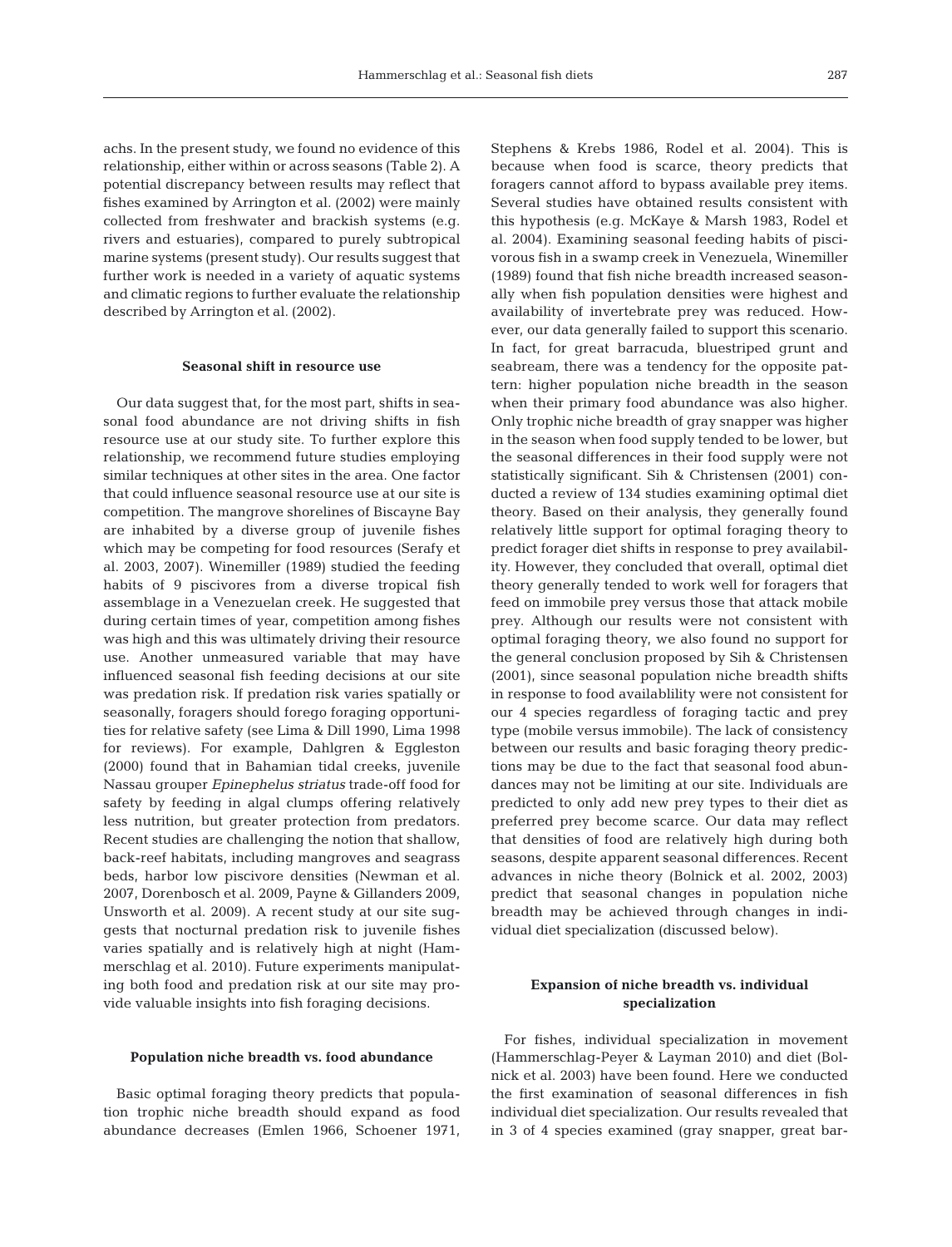achs. In the present study, we found no evidence of this relationship, either within or across seasons (Table 2). A potential discrepancy between results may reflect that fishes examined by Arrington et al. (2002) were mainly collected from freshwater and brackish systems (e.g. rivers and estuaries), compared to purely subtropical marine systems (present study). Our results suggest that further work is needed in a variety of aquatic systems and climatic regions to further evaluate the relationship described by Arrington et al. (2002).

#### **Seasonal shift in resource use**

Our data suggest that, for the most part, shifts in seasonal food abundance are not driving shifts in fish resource use at our study site. To further explore this relationship, we recommend future studies employing similar techniques at other sites in the area. One factor that could influence seasonal resource use at our site is competition. The mangrove shorelines of Biscayne Bay are inhabited by a diverse group of juvenile fishes which may be competing for food resources (Serafy et al. 2003, 2007). Winemiller (1989) studied the feeding habits of 9 piscivores from a diverse tropical fish assemblage in a Venezuelan creek. He suggested that during certain times of year, competition among fishes was high and this was ultimately driving their resource use. Another unmeasured variable that may have influenced seasonal fish feeding decisions at our site was predation risk. If predation risk varies spatially or seasonally, foragers should forego foraging opportunities for relative safety (see Lima & Dill 1990, Lima 1998 for reviews). For example, Dahlgren & Eggleston (2000) found that in Bahamian tidal creeks, juvenile Nassau grouper *Epinephelus striatus* trade-off food for safety by feeding in algal clumps offering relatively less nutrition, but greater protection from predators. Recent studies are challenging the notion that shallow, back-reef habitats, including mangroves and seagrass beds, harbor low piscivore densities (Newman et al. 2007, Dorenbosch et al. 2009, Payne & Gillanders 2009, Unsworth et al. 2009). A recent study at our site suggests that nocturnal predation risk to juvenile fishes varies spatially and is relatively high at night (Hammerschlag et al. 2010). Future experiments manipulating both food and predation risk at our site may provide valuable insights into fish foraging decisions.

#### **Population niche breadth vs. food abundance**

Basic optimal foraging theory predicts that population trophic niche breadth should expand as food abundance decreases (Emlen 1966, Schoener 1971, Stephens & Krebs 1986, Rodel et al. 2004). This is because when food is scarce, theory predicts that foragers cannot afford to bypass available prey items. Several studies have obtained results consistent with this hypothesis (e.g. McKaye & Marsh 1983, Rodel et al. 2004). Examining seasonal feeding habits of piscivorous fish in a swamp creek in Venezuela, Winemiller (1989) found that fish niche breadth increased seasonally when fish population densities were highest and availability of invertebrate prey was reduced. However, our data generally failed to support this scenario. In fact, for great barracuda, bluestriped grunt and seabream, there was a tendency for the opposite pattern: higher population niche breadth in the season when their primary food abundance was also higher. Only trophic niche breadth of gray snapper was higher in the season when food supply tended to be lower, but the seasonal differences in their food supply were not statistically significant. Sih & Christensen (2001) conducted a review of 134 studies examining optimal diet theory. Based on their analysis, they generally found relatively little support for optimal foraging theory to predict forager diet shifts in response to prey availability. However, they concluded that overall, optimal diet theory generally tended to work well for foragers that feed on immobile prey versus those that attack mobile prey. Although our results were not consistent with optimal foraging theory, we also found no support for the general conclusion proposed by Sih & Christensen (2001), since seasonal population niche breadth shifts in response to food availablility were not consistent for our 4 species regardless of foraging tactic and prey type (mobile versus immobile). The lack of consistency between our results and basic foraging theory predictions may be due to the fact that seasonal food abundances may not be limiting at our site. Individuals are predicted to only add new prey types to their diet as preferred prey become scarce. Our data may reflect that densities of food are relatively high during both seasons, despite apparent seasonal differences. Recent advances in niche theory (Bolnick et al. 2002, 2003) predict that seasonal changes in population niche breadth may be achieved through changes in individual diet specialization (discussed below).

# **Expansion of niche breadth vs. individual specialization**

For fishes, individual specialization in movement (Hammerschlag-Peyer & Layman 2010) and diet (Bolnick et al. 2003) have been found. Here we conducted the first examination of seasonal differences in fish individual diet specialization. Our results revealed that in 3 of 4 species examined (gray snapper, great bar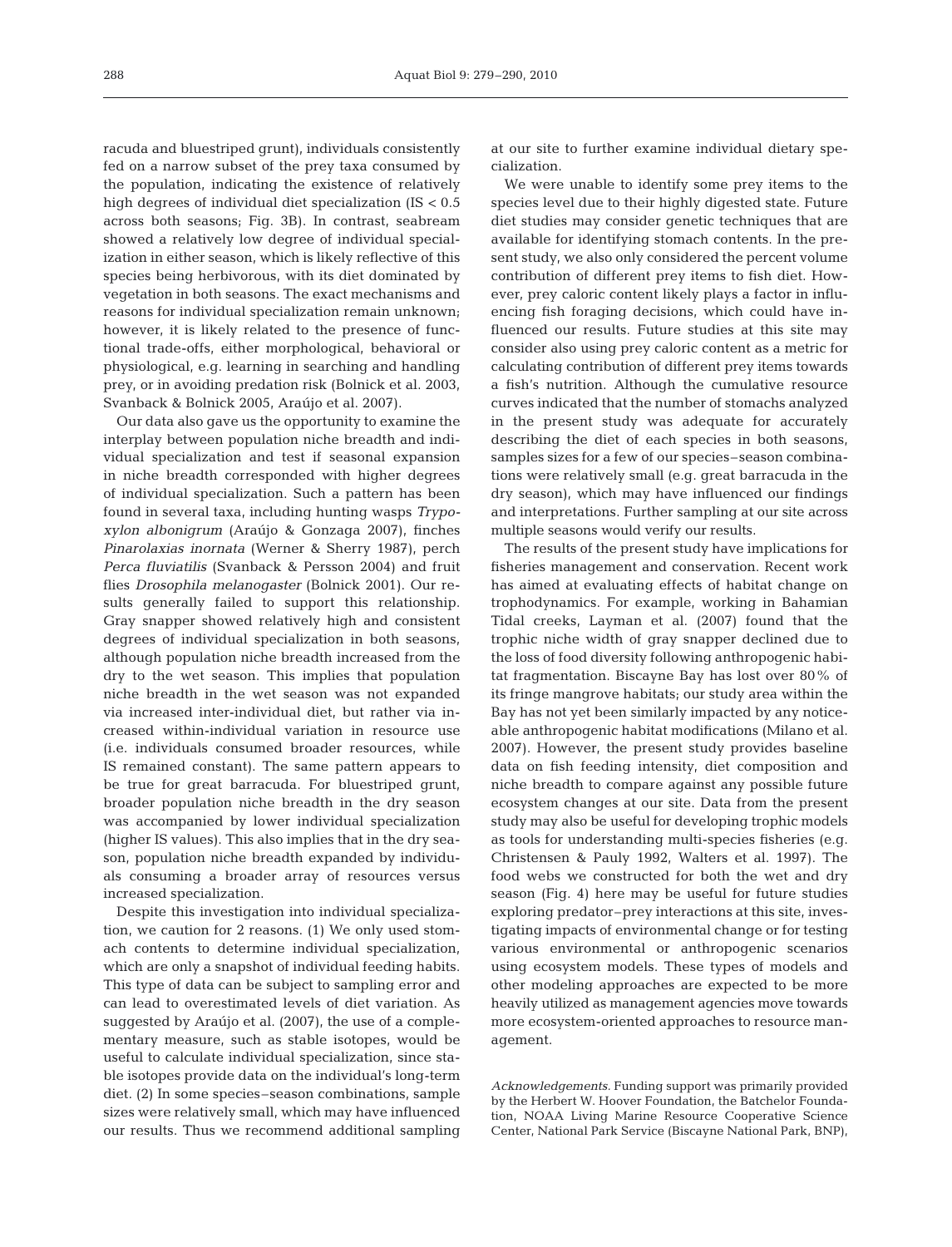racuda and bluestriped grunt), individuals consistently fed on a narrow subset of the prey taxa consumed by the population, indicating the existence of relatively high degrees of individual diet specialization (IS < 0.5 across both seasons; Fig. 3B). In contrast, seabream showed a relatively low degree of individual specialization in either season, which is likely reflective of this species being herbivorous, with its diet dominated by vegetation in both seasons. The exact mechanisms and reasons for individual specialization remain unknown; however, it is likely related to the presence of functional trade-offs, either morphological, behavioral or physiological, e.g. learning in searching and handling prey, or in avoiding predation risk (Bolnick et al. 2003, Svanback & Bolnick 2005, Araújo et al. 2007).

Our data also gave us the opportunity to examine the interplay between population niche breadth and individual specialization and test if seasonal expansion in niche breadth corresponded with higher degrees of individual specialization. Such a pattern has been found in several taxa, including hunting wasps *Trypoxylon albonigrum* (Araújo & Gonzaga 2007), finches *Pinarolaxias inornata* (Werner & Sherry 1987), perch *Perca fluviatilis* (Svanback & Persson 2004) and fruit flies *Drosophila melanogaster* (Bolnick 2001). Our results generally failed to support this relationship. Gray snapper showed relatively high and consistent degrees of individual specialization in both seasons, although population niche breadth increased from the dry to the wet season. This implies that population niche breadth in the wet season was not expanded via increased inter-individual diet, but rather via increased within-individual variation in resource use (i.e. individuals consumed broader resources, while IS remained constant). The same pattern appears to be true for great barracuda. For bluestriped grunt, broader population niche breadth in the dry season was accompanied by lower individual specialization (higher IS values). This also implies that in the dry season, population niche breadth expanded by individuals consuming a broader array of resources versus increased specialization.

Despite this investigation into individual specialization, we caution for 2 reasons. (1) We only used stomach contents to determine individual specialization, which are only a snapshot of individual feeding habits. This type of data can be subject to sampling error and can lead to overestimated levels of diet variation. As suggested by Araújo et al. (2007), the use of a complementary measure, such as stable isotopes, would be useful to calculate individual specialization, since stable isotopes provide data on the individual's long-term diet. (2) In some species–season combinations, sample sizes were relatively small, which may have influenced our results. Thus we recommend additional sampling

at our site to further examine individual dietary specialization.

We were unable to identify some prey items to the species level due to their highly digested state. Future diet studies may consider genetic techniques that are available for identifying stomach contents. In the present study, we also only considered the percent volume contribution of different prey items to fish diet. However, prey caloric content likely plays a factor in influencing fish foraging decisions, which could have influenced our results. Future studies at this site may consider also using prey caloric content as a metric for calculating contribution of different prey items towards a fish's nutrition. Although the cumulative resource curves indicated that the number of stomachs analyzed in the present study was adequate for accurately describing the diet of each species in both seasons, samples sizes for a few of our species–season combinations were relatively small (e.g. great barracuda in the dry season), which may have influenced our findings and interpretations. Further sampling at our site across multiple seasons would verify our results.

The results of the present study have implications for fisheries management and conservation. Recent work has aimed at evaluating effects of habitat change on trophodynamics. For example, working in Bahamian Tidal creeks, Layman et al. (2007) found that the trophic niche width of gray snapper declined due to the loss of food diversity following anthropogenic habitat fragmentation. Biscayne Bay has lost over 80% of its fringe mangrove habitats; our study area within the Bay has not yet been similarly impacted by any noticeable anthropogenic habitat modifications (Milano et al. 2007). However, the present study provides baseline data on fish feeding intensity, diet composition and niche breadth to compare against any possible future ecosystem changes at our site. Data from the present study may also be useful for developing trophic models as tools for understanding multi-species fisheries (e.g. Christensen & Pauly 1992, Walters et al. 1997). The food webs we constructed for both the wet and dry season (Fig. 4) here may be useful for future studies exploring predator–prey interactions at this site, investigating impacts of environmental change or for testing various environmental or anthropogenic scenarios using ecosystem models. These types of models and other modeling approaches are expected to be more heavily utilized as management agencies move towards more ecosystem-oriented approaches to resource management.

*Acknowledgements.* Funding support was primarily provided by the Herbert W. Hoover Foundation, the Batchelor Foundation, NOAA Living Marine Resource Cooperative Science Center, National Park Service (Biscayne National Park, BNP),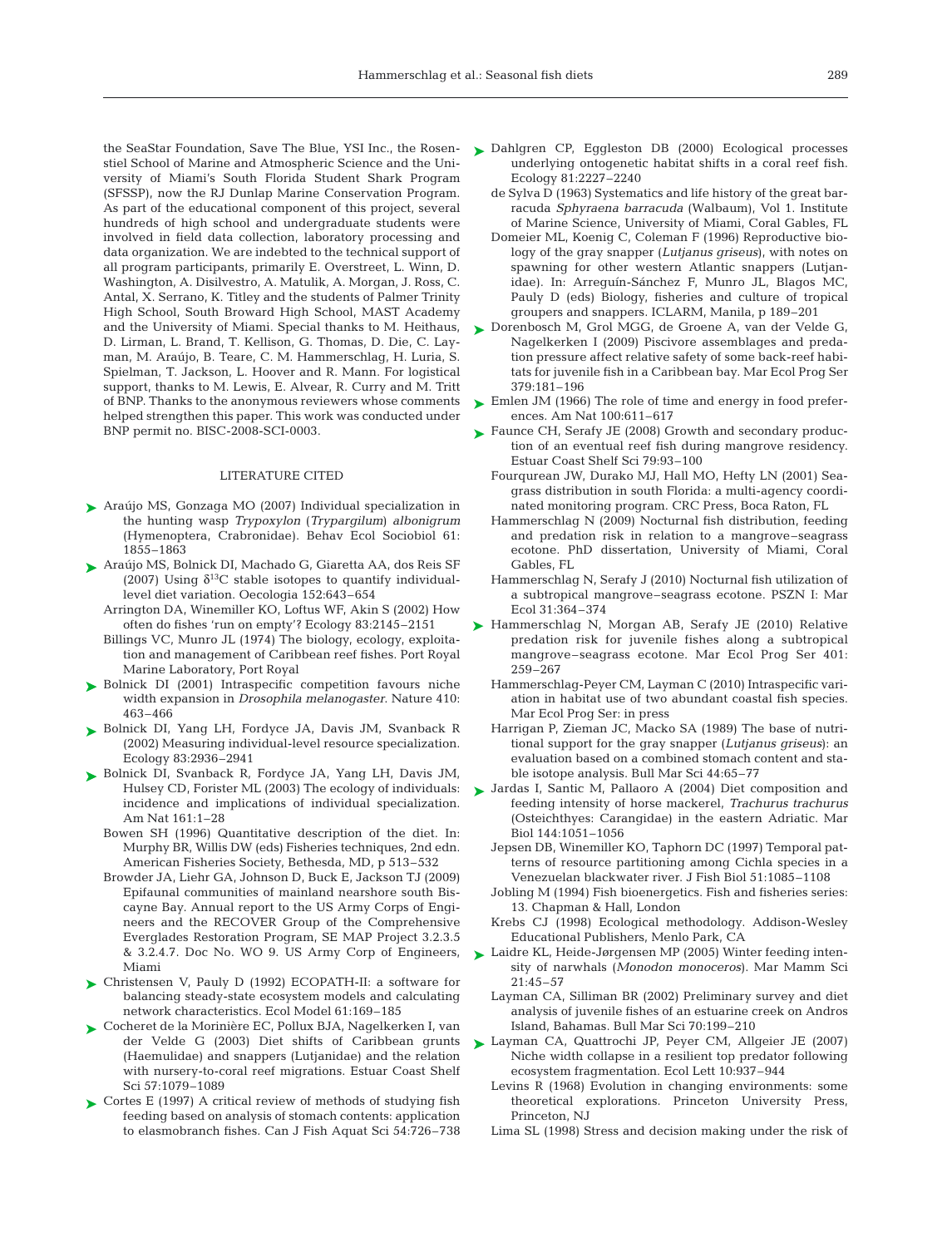the SeaStar Foundation, Save The Blue, YSI Inc., the Rosenstiel School of Marine and Atmospheric Science and the University of Miami's South Florida Student Shark Program (SFSSP), now the RJ Dunlap Marine Conservation Program. As part of the educational component of this project, several hundreds of high school and undergraduate students were involved in field data collection, laboratory processing and data organization. We are indebted to the technical support of all program participants, primarily E. Overstreet, L. Winn, D. Washington, A. Disilvestro, A. Matulik, A. Morgan, J. Ross, C. Antal, X. Serrano, K. Titley and the students of Palmer Trinity High School, South Broward High School, MAST Academy and the University of Miami. Special thanks to M. Heithaus, D. Lirman, L. Brand, T. Kellison, G. Thomas, D. Die, C. Layman, M. Araújo, B. Teare, C. M. Hammerschlag, H. Luria, S. Spielman, T. Jackson, L. Hoover and R. Mann. For logistical support, thanks to M. Lewis, E. Alvear, R. Curry and M. Tritt of BNP. Thanks to the anonymous reviewers whose comments helped strengthen this paper. This work was conducted under BNP permit no. BISC-2008-SCI-0003.

#### LITERATURE CITED

- Araújo MS, Gonzaga MO (2007) Individual specialization in ➤ the hunting wasp *Trypoxylon* (*Trypargilum*) *albonigrum* (Hymenoptera, Crabronidae). Behav Ecol Sociobiol 61: 1855–1863
- ► Araújo MS, Bolnick DI, Machado G, Giaretta AA, dos Reis SF (2007) Using  $\delta^{13}$ C stable isotopes to quantify individuallevel diet variation. Oecologia 152:643–654
	- Arrington DA, Winemiller KO, Loftus WF, Akin S (2002) How often do fishes 'run on empty'? Ecology 83:2145–2151
	- Billings VC, Munro JL (1974) The biology, ecology, exploitation and management of Caribbean reef fishes. Port Royal Marine Laboratory, Port Royal
- ► Bolnick DI (2001) Intraspecific competition favours niche width expansion in *Drosophila melanogaster*. Nature 410: 463–466
- Bolnick DI, Yang LH, Fordyce JA, Davis JM, Svanback R ➤ (2002) Measuring individual-level resource specialization. Ecology 83:2936–2941
- ► Bolnick DI, Svanback R, Fordyce JA, Yang LH, Davis JM, Hulsey CD, Forister ML (2003) The ecology of individuals: incidence and implications of individual specialization. Am Nat 161:1–28
	- Bowen SH (1996) Quantitative description of the diet. In: Murphy BR, Willis DW (eds) Fisheries techniques, 2nd edn. American Fisheries Society, Bethesda, MD, p 513–532
	- Browder JA, Liehr GA, Johnson D, Buck E, Jackson TJ (2009) Epifaunal communities of mainland nearshore south Biscayne Bay. Annual report to the US Army Corps of Engineers and the RECOVER Group of the Comprehensive Everglades Restoration Program, SE MAP Project 3.2.3.5 & 3.2.4.7. Doc No. WO 9. US Army Corp of Engineers, Miami
- ► Christensen V, Pauly D (1992) ECOPATH-II: a software for balancing steady-state ecosystem models and calculating network characteristics. Ecol Model 61:169–185
- ► Cocheret de la Morinière EC, Pollux BJA, Nagelkerken I, van der Velde G (2003) Diet shifts of Caribbean grunts (Haemulidae) and snappers (Lutjanidae) and the relation with nursery-to-coral reef migrations. Estuar Coast Shelf Sci 57:1079–1089
- ► Cortes E (1997) A critical review of methods of studying fish feeding based on analysis of stomach contents: application to elasmobranch fishes. Can J Fish Aquat Sci 54:726–738
- Dahlgren CP, Eggleston DB (2000) Ecological processes ➤ underlying ontogenetic habitat shifts in a coral reef fish. Ecology 81:2227–2240
	- de Sylva D (1963) Systematics and life history of the great barracuda *Sphyraena barracuda* (Walbaum), Vol 1. Institute of Marine Science, University of Miami, Coral Gables, FL
	- Domeier ML, Koenig C, Coleman F (1996) Reproductive biology of the gray snapper (*Lutjanus griseus*), with notes on spawning for other western Atlantic snappers (Lutjanidae). In: Arreguín-Sánchez F, Munro JL, Blagos MC, Pauly D (eds) Biology, fisheries and culture of tropical groupers and snappers. ICLARM, Manila, p 189–201
- ► Dorenbosch M, Grol MGG, de Groene A, van der Velde G, Nagelkerken I (2009) Piscivore assemblages and predation pressure affect relative safety of some back-reef habitats for juvenile fish in a Caribbean bay. Mar Ecol Prog Ser 379:181–196
- ► Emlen JM (1966) The role of time and energy in food preferences. Am Nat 100:611–617
- ► Faunce CH, Serafy JE (2008) Growth and secondary production of an eventual reef fish during mangrove residency. Estuar Coast Shelf Sci 79:93–100
	- Fourqurean JW, Durako MJ, Hall MO, Hefty LN (2001) Seagrass distribution in south Florida: a multi-agency coordinated monitoring program. CRC Press, Boca Raton, FL
	- Hammerschlag N (2009) Nocturnal fish distribution, feeding and predation risk in relation to a mangrove–seagrass ecotone. PhD dissertation, University of Miami, Coral Gables, FL
	- Hammerschlag N, Serafy J (2010) Nocturnal fish utilization of a subtropical mangrove–seagrass ecotone. PSZN I: Mar Ecol 31:364–374
- ▶ Hammerschlag N, Morgan AB, Serafy JE (2010) Relative predation risk for juvenile fishes along a subtropical mangrove–seagrass ecotone. Mar Ecol Prog Ser 401: 259–267
	- Hammerschlag-Peyer CM, Layman C (2010) Intraspecific variation in habitat use of two abundant coastal fish species. Mar Ecol Prog Ser: in press
	- Harrigan P, Zieman JC, Macko SA (1989) The base of nutritional support for the gray snapper (*Lutjanus griseus*): an evaluation based on a combined stomach content and stable isotope analysis. Bull Mar Sci 44:65–77
- ▶ Jardas I, Santic M, Pallaoro A (2004) Diet composition and feeding intensity of horse mackerel, *Trachurus trachurus* (Osteichthyes: Carangidae) in the eastern Adriatic. Mar Biol 144:1051–1056
	- Jepsen DB, Winemiller KO, Taphorn DC (1997) Temporal patterns of resource partitioning among Cichla species in a Venezuelan blackwater river. J Fish Biol 51:1085–1108
	- Jobling M (1994) Fish bioenergetics. Fish and fisheries series: 13. Chapman & Hall, London
	- Krebs CJ (1998) Ecological methodology. Addison-Wesley Educational Publishers, Menlo Park, CA
- ► Laidre KL, Heide-Jørgensen MP (2005) Winter feeding intensity of narwhals (*Monodon monoceros*). Mar Mamm Sci 21:45–57
	- Layman CA, Silliman BR (2002) Preliminary survey and diet analysis of juvenile fishes of an estuarine creek on Andros Island, Bahamas. Bull Mar Sci 70:199–210
- Layman CA, Quattrochi JP, Peyer CM, Allgeier JE (2007) ➤ Niche width collapse in a resilient top predator following ecosystem fragmentation. Ecol Lett 10:937–944
	- Levins R (1968) Evolution in changing environments: some theoretical explorations. Princeton University Press, Princeton, NJ
	- Lima SL (1998) Stress and decision making under the risk of